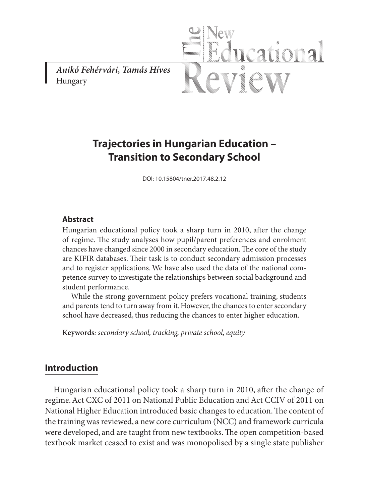*Anikó Fehérvári, Tamás Híves* Hungary



# **Trajectories in Hungarian Education – Transition to Secondary School**

DOI: 10.15804/tner.2017.48.2.12

#### **Abstract**

Hungarian educational policy took a sharp turn in 2010, after the change of regime. The study analyses how pupil/parent preferences and enrolment chances have changed since 2000 in secondary education. The core of the study are KIFIR databases. Their task is to conduct secondary admission processes and to register applications. We have also used the data of the national competence survey to investigate the relationships between social background and student performance.

While the strong government policy prefers vocational training, students and parents tend to turn away from it. However, the chances to enter secondary school have decreased, thus reducing the chances to enter higher education.

**Keywords***: secondary school, tracking, private school, equity*

### **Introduction**

Hungarian educational policy took a sharp turn in 2010, after the change of regime. Act CXC of 2011 on National Public Education and Act CCIV of 2011 on National Higher Education introduced basic changes to education. The content of the training was reviewed, a new core curriculum (NCC) and framework curricula were developed, and are taught from new textbooks. The open competition-based textbook market ceased to exist and was monopolised by a single state publisher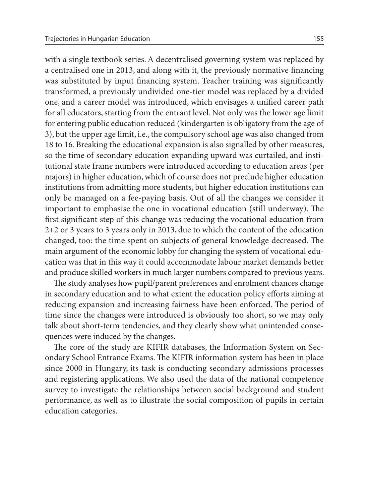with a single textbook series. A decentralised governing system was replaced by a centralised one in 2013, and along with it, the previously normative financing was substituted by input financing system. Teacher training was significantly transformed, a previously undivided one-tier model was replaced by a divided one, and a career model was introduced, which envisages a unified career path for all educators, starting from the entrant level. Not only was the lower age limit for entering public education reduced (kindergarten is obligatory from the age of 3), but the upper age limit, i.e., the compulsory school age was also changed from 18 to 16. Breaking the educational expansion is also signalled by other measures, so the time of secondary education expanding upward was curtailed, and institutional state frame numbers were introduced according to education areas (per majors) in higher education, which of course does not preclude higher education institutions from admitting more students, but higher education institutions can only be managed on a fee-paying basis. Out of all the changes we consider it important to emphasise the one in vocational education (still underway). The first significant step of this change was reducing the vocational education from 2+2 or 3 years to 3 years only in 2013, due to which the content of the education changed, too: the time spent on subjects of general knowledge decreased. The main argument of the economic lobby for changing the system of vocational education was that in this way it could accommodate labour market demands better and produce skilled workers in much larger numbers compared to previous years.

The study analyses how pupil/parent preferences and enrolment chances change in secondary education and to what extent the education policy efforts aiming at reducing expansion and increasing fairness have been enforced. The period of time since the changes were introduced is obviously too short, so we may only talk about short-term tendencies, and they clearly show what unintended consequences were induced by the changes.

The core of the study are KIFIR databases, the Information System on Secondary School Entrance Exams. The KIFIR information system has been in place since 2000 in Hungary, its task is conducting secondary admissions processes and registering applications. We also used the data of the national competence survey to investigate the relationships between social background and student performance, as well as to illustrate the social composition of pupils in certain education categories.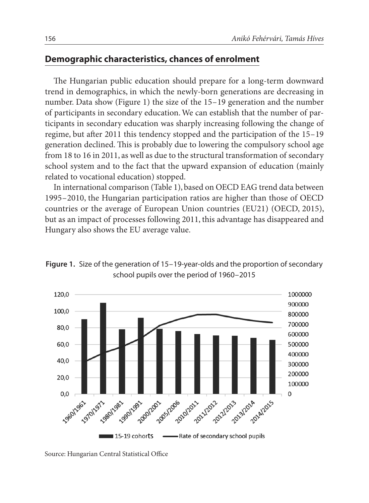## **Demographic characteristics, chances of enrolment**

The Hungarian public education should prepare for a long-term downward trend in demographics, in which the newly-born generations are decreasing in number. Data show (Figure 1) the size of the 15–19 generation and the number of participants in secondary education. We can establish that the number of participants in secondary education was sharply increasing following the change of regime, but after 2011 this tendency stopped and the participation of the 15–19 generation declined. This is probably due to lowering the compulsory school age from 18 to 16 in 2011, as well as due to the structural transformation of secondary school system and to the fact that the upward expansion of education (mainly related to vocational education) stopped.

In international comparison (Table 1), based on OECD EAG trend data between 1995–2010, the Hungarian participation ratios are higher than those of OECD countries or the average of European Union countries (EU21) (OECD, 2015), but as an impact of processes following 2011, this advantage has disappeared and Hungary also shows the EU average value.



**Figure 1.** Size of the generation of 15–19-year-olds and the proportion of secondary school pupils over the period of 1960–2015

Source: Hungarian Central Statistical Office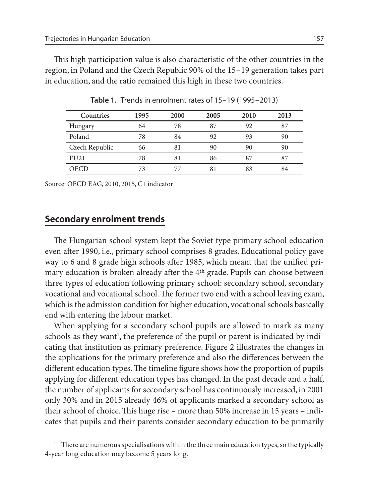This high participation value is also characteristic of the other countries in the region, in Poland and the Czech Republic 90% of the 15–19 generation takes part in education, and the ratio remained this high in these two countries.

| Countries      | 1995 | 2000 | 2005 | 2010 | 2013 |
|----------------|------|------|------|------|------|
| Hungary        | 64   | 78   | 87   | 92   | 87   |
| Poland         | 78   | 84   | 92   | 93   | 90   |
| Czech Republic | 66   | 81   | 90   | 90   | 90   |
| EU21           | 78   | 81   | 86   | 87   | 87   |
| <b>OECD</b>    | 73   |      | 81   | 83   | 84   |

**Table 1.** Trends in enrolment rates of 15–19 (1995–2013)

Source: OECD EAG, 2010, 2015, C1 indicator

### **Secondary enrolment trends**

The Hungarian school system kept the Soviet type primary school education even after 1990, i.e., primary school comprises 8 grades. Educational policy gave way to 6 and 8 grade high schools after 1985, which meant that the unified primary education is broken already after the 4th grade. Pupils can choose between three types of education following primary school: secondary school, secondary vocational and vocational school. The former two end with a school leaving exam, which is the admission condition for higher education, vocational schools basically end with entering the labour market.

When applying for a secondary school pupils are allowed to mark as many schools as they want<sup>1</sup>, the preference of the pupil or parent is indicated by indicating that institution as primary preference. Figure 2 illustrates the changes in the applications for the primary preference and also the differences between the different education types. The timeline figure shows how the proportion of pupils applying for different education types has changed. In the past decade and a half, the number of applicants for secondary school has continuously increased, in 2001 only 30% and in 2015 already 46% of applicants marked a secondary school as their school of choice. This huge rise – more than 50% increase in 15 years – indicates that pupils and their parents consider secondary education to be primarily

<sup>1</sup> There are numerous specialisations within the three main education types, so the typically 4-year long education may become 5 years long.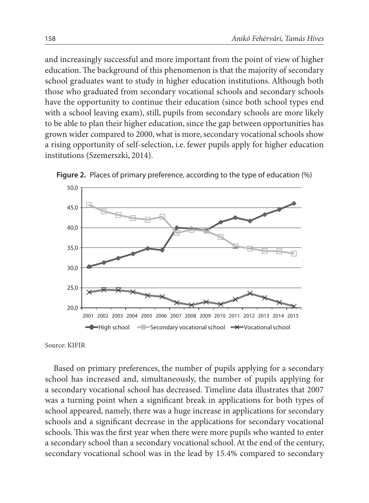and increasingly successful and more important from the point of view of higher education. The background of this phenomenon is that the majority of secondary school graduates want to study in higher education institutions. Although both those who graduated from secondary vocational schools and secondary schools have the opportunity to continue their education (since both school types end with a school leaving exam), still, pupils from secondary schools are more likely to be able to plan their higher education, since the gap between opportunities has grown wider compared to 2000, what is more, secondary vocational schools show a rising opportunity of self-selection, i.e. fewer pupils apply for higher education institutions (Szemerszki, 2014).





Source: KIFIR

Based on primary preferences, the number of pupils applying for a secondary school has increased and, simultaneously, the number of pupils applying for a secondary vocational school has decreased. Timeline data illustrates that 2007 was a turning point when a significant break in applications for both types of school appeared, namely, there was a huge increase in applications for secondary schools and a significant decrease in the applications for secondary vocational schools. This was the first year when there were more pupils who wanted to enter a secondary school than a secondary vocational school. At the end of the century, secondary vocational school was in the lead by 15.4% compared to secondary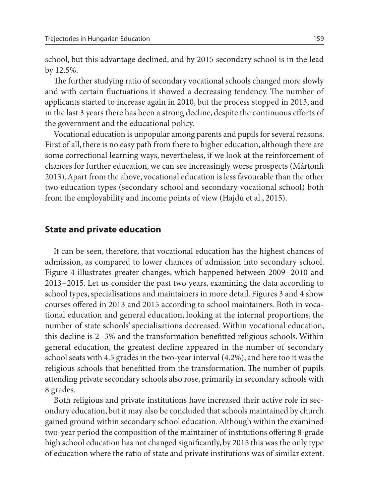school, but this advantage declined, and by 2015 secondary school is in the lead by 12.5%.

The further studying ratio of secondary vocational schools changed more slowly and with certain fluctuations it showed a decreasing tendency. The number of applicants started to increase again in 2010, but the process stopped in 2013, and in the last 3 years there has been a strong decline, despite the continuous efforts of the government and the educational policy.

Vocational education is unpopular among parents and pupils for several reasons. First of all, there is no easy path from there to higher education, although there are some correctional learning ways, nevertheless, if we look at the reinforcement of chances for further education, we can see increasingly worse prospects (Mártonfi 2013). Apart from the above, vocational education is less favourable than the other two education types (secondary school and secondary vocational school) both from the employability and income points of view (Hajdú et al., 2015).

#### **State and private education**

It can be seen, therefore, that vocational education has the highest chances of admission, as compared to lower chances of admission into secondary school. Figure 4 illustrates greater changes, which happened between 2009–2010 and 2013–2015. Let us consider the past two years, examining the data according to school types, specialisations and maintainers in more detail. Figures 3 and 4 show courses offered in 2013 and 2015 according to school maintainers. Both in vocational education and general education, looking at the internal proportions, the number of state schools' specialisations decreased. Within vocational education, this decline is 2–3% and the transformation benefitted religious schools. Within general education, the greatest decline appeared in the number of secondary school seats with 4.5 grades in the two-year interval (4.2%), and here too it was the religious schools that benefitted from the transformation. The number of pupils attending private secondary schools also rose, primarily in secondary schools with 8 grades.

Both religious and private institutions have increased their active role in secondary education, but it may also be concluded that schools maintained by church gained ground within secondary school education. Although within the examined two-year period the composition of the maintainer of institutions offering 8-grade high school education has not changed significantly, by 2015 this was the only type of education where the ratio of state and private institutions was of similar extent.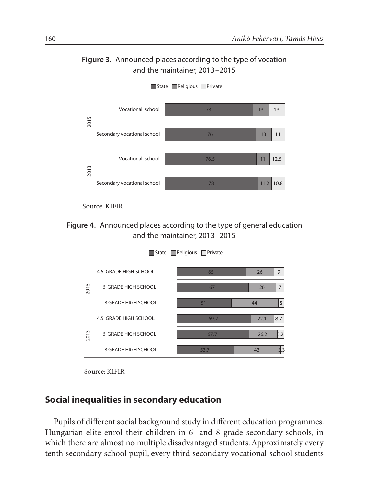



State **Religious** Private

**Figure 4.** Announced places according to the type of general education and the maintainer, 2013–2015



State **Religious** Private

Source: KIFIR

### **Social inequalities in secondary education**

Pupils of different social background study in different education programmes. Hungarian elite enrol their children in 6- and 8-grade secondary schools, in which there are almost no multiple disadvantaged students. Approximately every tenth secondary school pupil, every third secondary vocational school students

Source: KIFIR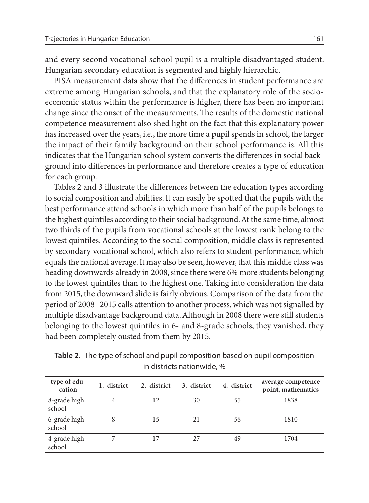and every second vocational school pupil is a multiple disadvantaged student. Hungarian secondary education is segmented and highly hierarchic.

PISA measurement data show that the differences in student performance are extreme among Hungarian schools, and that the explanatory role of the socioeconomic status within the performance is higher, there has been no important change since the onset of the measurements. The results of the domestic national competence measurement also shed light on the fact that this explanatory power has increased over the years, i.e., the more time a pupil spends in school, the larger the impact of their family background on their school performance is. All this indicates that the Hungarian school system converts the differences in social background into differences in performance and therefore creates a type of education for each group.

Tables 2 and 3 illustrate the differences between the education types according to social composition and abilities. It can easily be spotted that the pupils with the best performance attend schools in which more than half of the pupils belongs to the highest quintiles according to their social background. At the same time, almost two thirds of the pupils from vocational schools at the lowest rank belong to the lowest quintiles. According to the social composition, middle class is represented by secondary vocational school, which also refers to student performance, which equals the national average. It may also be seen, however, that this middle class was heading downwards already in 2008, since there were 6% more students belonging to the lowest quintiles than to the highest one. Taking into consideration the data from 2015, the downward slide is fairly obvious. Comparison of the data from the period of 2008–2015 calls attention to another process, which was not signalled by multiple disadvantage background data. Although in 2008 there were still students belonging to the lowest quintiles in 6- and 8-grade schools, they vanished, they had been completely ousted from them by 2015.

| type of edu-<br>cation | 1. district | 2. district | 3. district | 4. district | average competence<br>point, mathematics |
|------------------------|-------------|-------------|-------------|-------------|------------------------------------------|
| 8-grade high<br>school | 4           | 12          | 30          | 55          | 1838                                     |
| 6-grade high<br>school | 8           | 15          | 21          | 56          | 1810                                     |
| 4-grade high<br>school |             | 17          | 27          | 49          | 1704                                     |

**Table 2.** The type of school and pupil composition based on pupil composition in districts nationwide, %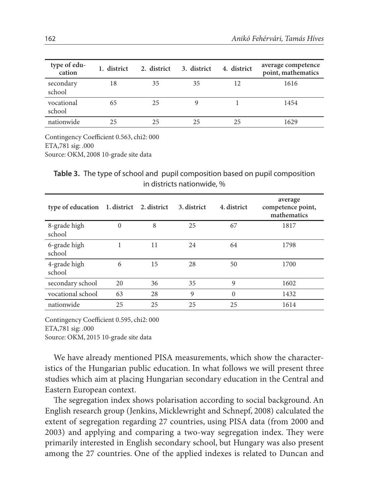| type of edu-<br>cation | 1. district | 2. district | 3. district | 4. district | average competence<br>point, mathematics |
|------------------------|-------------|-------------|-------------|-------------|------------------------------------------|
| secondary<br>school    | 18          | 35          | 35          | 12          | 1616                                     |
| vocational<br>school   | 65          | 25          | y           |             | 1454                                     |
| nationwide             | 25          | 25          | 25          | 25          | 1629                                     |

Contingency Coefficient 0.563, chi2: 000 ETA,781 sig: .000 Source: OKM, 2008 10-grade site data

**Table 3.** The type of school and pupil composition based on pupil composition in districts nationwide, %

| type of education      | 1. district | 2. district | 3. district | 4. district | average<br>competence point,<br>mathematics |
|------------------------|-------------|-------------|-------------|-------------|---------------------------------------------|
| 8-grade high<br>school | $\theta$    | 8           | 25          | 67          | 1817                                        |
| 6-grade high<br>school |             | 11          | 24          | 64          | 1798                                        |
| 4-grade high<br>school | 6           | 15          | 28          | 50          | 1700                                        |
| secondary school       | 20          | 36          | 35          | 9           | 1602                                        |
| vocational school      | 63          | 28          | 9           | $\Omega$    | 1432                                        |
| nationwide             | 25          | 25          | 25          | 25          | 1614                                        |

Contingency Coefficient 0.595, chi2: 000 ETA,781 sig: .000 Source: OKM, 2015 10-grade site data

We have already mentioned PISA measurements, which show the characteristics of the Hungarian public education. In what follows we will present three studies which aim at placing Hungarian secondary education in the Central and Eastern European context.

The segregation index shows polarisation according to social background. An English research group (Jenkins, Micklewright and Schnepf, 2008) calculated the extent of segregation regarding 27 countries, using PISA data (from 2000 and 2003) and applying and comparing a two-way segregation index. They were primarily interested in English secondary school, but Hungary was also present among the 27 countries. One of the applied indexes is related to Duncan and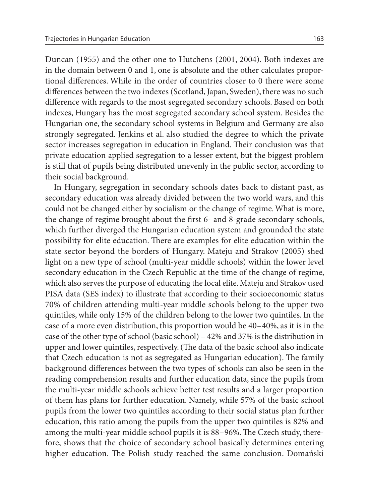Duncan (1955) and the other one to Hutchens (2001, 2004). Both indexes are in the domain between 0 and 1, one is absolute and the other calculates proportional differences. While in the order of countries closer to 0 there were some differences between the two indexes (Scotland, Japan, Sweden), there was no such difference with regards to the most segregated secondary schools. Based on both indexes, Hungary has the most segregated secondary school system. Besides the Hungarian one, the secondary school systems in Belgium and Germany are also strongly segregated. Jenkins et al. also studied the degree to which the private sector increases segregation in education in England. Their conclusion was that private education applied segregation to a lesser extent, but the biggest problem is still that of pupils being distributed unevenly in the public sector, according to their social background.

In Hungary, segregation in secondary schools dates back to distant past, as secondary education was already divided between the two world wars, and this could not be changed either by socialism or the change of regime. What is more, the change of regime brought about the first 6- and 8-grade secondary schools, which further diverged the Hungarian education system and grounded the state possibility for elite education. There are examples for elite education within the state sector beyond the borders of Hungary. Mateju and Strakov (2005) shed light on a new type of school (multi-year middle schools) within the lower level secondary education in the Czech Republic at the time of the change of regime, which also serves the purpose of educating the local elite. Mateju and Strakov used PISA data (SES index) to illustrate that according to their socioeconomic status 70% of children attending multi-year middle schools belong to the upper two quintiles, while only 15% of the children belong to the lower two quintiles. In the case of a more even distribution, this proportion would be 40–40%, as it is in the case of the other type of school (basic school) – 42% and 37% is the distribution in upper and lower quintiles, respectively. (The data of the basic school also indicate that Czech education is not as segregated as Hungarian education). The family background differences between the two types of schools can also be seen in the reading comprehension results and further education data, since the pupils from the multi-year middle schools achieve better test results and a larger proportion of them has plans for further education. Namely, while 57% of the basic school pupils from the lower two quintiles according to their social status plan further education, this ratio among the pupils from the upper two quintiles is 82% and among the multi-year middle school pupils it is 88–96%. The Czech study, therefore, shows that the choice of secondary school basically determines entering higher education. The Polish study reached the same conclusion. Domański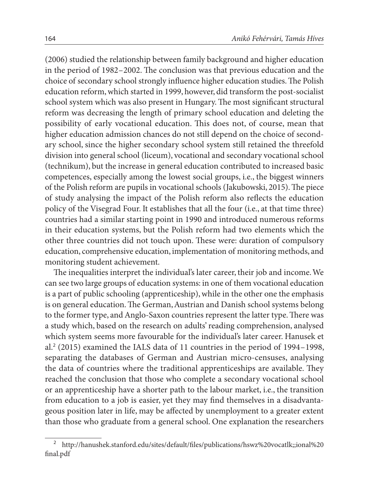(2006) studied the relationship between family background and higher education in the period of 1982–2002. The conclusion was that previous education and the choice of secondary school strongly influence higher education studies. The Polish education reform, which started in 1999, however, did transform the post-socialist school system which was also present in Hungary. The most significant structural reform was decreasing the length of primary school education and deleting the possibility of early vocational education. This does not, of course, mean that higher education admission chances do not still depend on the choice of secondary school, since the higher secondary school system still retained the threefold division into general school (liceum), vocational and secondary vocational school (technikum), but the increase in general education contributed to increased basic competences, especially among the lowest social groups, i.e., the biggest winners of the Polish reform are pupils in vocational schools (Jakubowski, 2015). The piece of study analysing the impact of the Polish reform also reflects the education policy of the Visegrad Four. It establishes that all the four (i.e., at that time three) countries had a similar starting point in 1990 and introduced numerous reforms in their education systems, but the Polish reform had two elements which the other three countries did not touch upon. These were: duration of compulsory education, comprehensive education, implementation of monitoring methods, and monitoring student achievement.

The inequalities interpret the individual's later career, their job and income. We can see two large groups of education systems: in one of them vocational education is a part of public schooling (apprenticeship), while in the other one the emphasis is on general education. The German, Austrian and Danish school systems belong to the former type, and Anglo-Saxon countries represent the latter type. There was a study which, based on the research on adults' reading comprehension, analysed which system seems more favourable for the individual's later career. Hanusek et al.<sup>2</sup> (2015) examined the IALS data of 11 countries in the period of 1994–1998, separating the databases of German and Austrian micro-censuses, analysing the data of countries where the traditional apprenticeships are available. They reached the conclusion that those who complete a secondary vocational school or an apprenticeship have a shorter path to the labour market, i.e., the transition from education to a job is easier, yet they may find themselves in a disadvantageous position later in life, may be affected by unemployment to a greater extent than those who graduate from a general school. One explanation the researchers

 $^2$ http://hanushek.stanford.edu/sites/default/files/publications/hswz%20vocatlk;;ional%20 final.pdf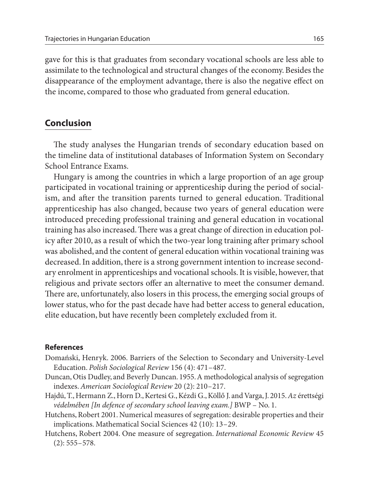gave for this is that graduates from secondary vocational schools are less able to assimilate to the technological and structural changes of the economy. Besides the disappearance of the employment advantage, there is also the negative effect on the income, compared to those who graduated from general education.

#### **Conclusion**

The study analyses the Hungarian trends of secondary education based on the timeline data of institutional databases of Information System on Secondary School Entrance Exams.

Hungary is among the countries in which a large proportion of an age group participated in vocational training or apprenticeship during the period of socialism, and after the transition parents turned to general education. Traditional apprenticeship has also changed, because two years of general education were introduced preceding professional training and general education in vocational training has also increased. There was a great change of direction in education policy after 2010, as a result of which the two-year long training after primary school was abolished, and the content of general education within vocational training was decreased. In addition, there is a strong government intention to increase secondary enrolment in apprenticeships and vocational schools. It is visible, however, that religious and private sectors offer an alternative to meet the consumer demand. There are, unfortunately, also losers in this process, the emerging social groups of lower status, who for the past decade have had better access to general education, elite education, but have recently been completely excluded from it.

#### **References**

- Domański, Henryk. 2006. Barriers of the Selection to Secondary and University-Level Education. *Polish Sociological Review* 156 (4): 471–487.
- Duncan, Otis Dudley, and Beverly Duncan. 1955. A methodological analysis of segregation indexes. *American Sociological Review* 20 (2): 210–217.
- Hajdú, T., Hermann Z., Horn D., Kertesi G., Kézdi G., Köllő J. and Varga, J. 2015. *Az* érettségi *védelmében [In defence of secondary school leaving exam.]* BWP – No. 1.
- Hutchens, Robert 2001. Numerical measures of segregation: desirable properties and their implications. Mathematical Social Sciences 42 (10): 13–29.
- Hutchens, Robert 2004. One measure of segregation. *International Economic Review* 45  $(2): 555 - 578.$